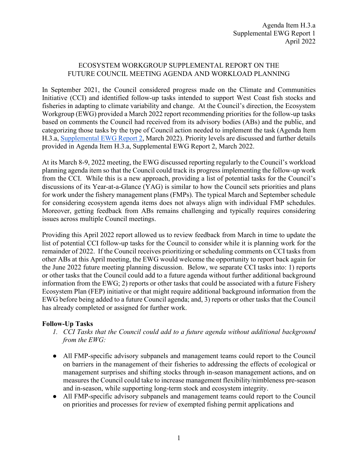## ECOSYSTEM WORKGROUP SUPPLEMENTAL REPORT ON THE FUTURE COUNCIL MEETING AGENDA AND WORKLOAD PLANNING

In September 2021, the Council considered progress made on the Climate and Communities Initiative (CCI) and identified follow-up tasks intended to support West Coast fish stocks and fisheries in adapting to climate variability and change. At the Council's direction, the Ecosystem Workgroup (EWG) provided a March 2022 report recommending priorities for the follow-up tasks based on comments the Council had received from its advisory bodies (ABs) and the public, and categorizing those tasks by the type of Council action needed to implement the task (Agenda Item H.3.a, [Supplemental EWG Report 2,](https://www.pcouncil.org/documents/2022/03/h-3-a-supplemental-ewg-report-2.pdf/) March 2022). Priority levels are discussed and further details provided in Agenda Item H.3.a, Supplemental EWG Report 2, March 2022.

At its March 8-9, 2022 meeting, the EWG discussed reporting regularly to the Council's workload planning agenda item so that the Council could track its progress implementing the follow-up work from the CCI. While this is a new approach, providing a list of potential tasks for the Council's discussions of its Year-at-a-Glance (YAG) is similar to how the Council sets priorities and plans for work under the fishery management plans (FMPs). The typical March and September schedule for considering ecosystem agenda items does not always align with individual FMP schedules. Moreover, getting feedback from ABs remains challenging and typically requires considering issues across multiple Council meetings.

Providing this April 2022 report allowed us to review feedback from March in time to update the list of potential CCI follow-up tasks for the Council to consider while it is planning work for the remainder of 2022. If the Council receives prioritizing or scheduling comments on CCI tasks from other ABs at this April meeting, the EWG would welcome the opportunity to report back again for the June 2022 future meeting planning discussion. Below, we separate CCI tasks into: 1) reports or other tasks that the Council could add to a future agenda without further additional background information from the EWG; 2) reports or other tasks that could be associated with a future Fishery Ecosystem Plan (FEP) initiative or that might require additional background information from the EWG before being added to a future Council agenda; and, 3) reports or other tasks that the Council has already completed or assigned for further work.

## **Follow-Up Tasks**

- *1. CCI Tasks that the Council could add to a future agenda without additional background from the EWG:*
- All FMP-specific advisory subpanels and management teams could report to the Council on barriers in the management of their fisheries to addressing the effects of ecological or management surprises and shifting stocks through in-season management actions, and on measures the Council could take to increase management flexibility/nimbleness pre-season and in-season, while supporting long-term stock and ecosystem integrity.
- All FMP-specific advisory subpanels and management teams could report to the Council on priorities and processes for review of exempted fishing permit applications and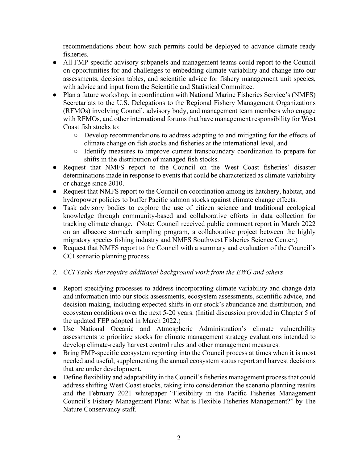recommendations about how such permits could be deployed to advance climate ready fisheries.

- All FMP-specific advisory subpanels and management teams could report to the Council on opportunities for and challenges to embedding climate variability and change into our assessments, decision tables, and scientific advice for fishery management unit species, with advice and input from the Scientific and Statistical Committee.
- Plan a future workshop, in coordination with National Marine Fisheries Service's (NMFS) Secretariats to the U.S. Delegations to the Regional Fishery Management Organizations (RFMOs) involving Council, advisory body, and management team members who engage with RFMOs, and other international forums that have management responsibility for West Coast fish stocks to:
	- Develop recommendations to address adapting to and mitigating for the effects of climate change on fish stocks and fisheries at the international level, and
	- Identify measures to improve current transboundary coordination to prepare for shifts in the distribution of managed fish stocks.
- Request that NMFS report to the Council on the West Coast fisheries' disaster determinations made in response to events that could be characterized as climate variability or change since 2010.
- Request that NMFS report to the Council on coordination among its hatchery, habitat, and hydropower policies to buffer Pacific salmon stocks against climate change effects.
- Task advisory bodies to explore the use of citizen science and traditional ecological knowledge through community-based and collaborative efforts in data collection for tracking climate change. (Note: Council received public comment report in March 2022 on an albacore stomach sampling program, a collaborative project between the highly migratory species fishing industry and NMFS Southwest Fisheries Science Center.)
- Request that NMFS report to the Council with a summary and evaluation of the Council's CCI scenario planning process.

## *2. CCI Tasks that require additional background work from the EWG and others*

- Report specifying processes to address incorporating climate variability and change data and information into our stock assessments, ecosystem assessments, scientific advice, and decision-making, including expected shifts in our stock's abundance and distribution, and ecosystem conditions over the next 5-20 years. (Initial discussion provided in Chapter 5 of the updated FEP adopted in March 2022.)
- Use National Oceanic and Atmospheric Administration's climate vulnerability assessments to prioritize stocks for climate management strategy evaluations intended to develop climate-ready harvest control rules and other management measures.
- Bring FMP-specific ecosystem reporting into the Council process at times when it is most needed and useful, supplementing the annual ecosystem status report and harvest decisions that are under development.
- Define flexibility and adaptability in the Council's fisheries management process that could address shifting West Coast stocks, taking into consideration the scenario planning results and the February 2021 whitepaper "Flexibility in the Pacific Fisheries Management Council's Fishery Management Plans: What is Flexible Fisheries Management?" by The Nature Conservancy staff.